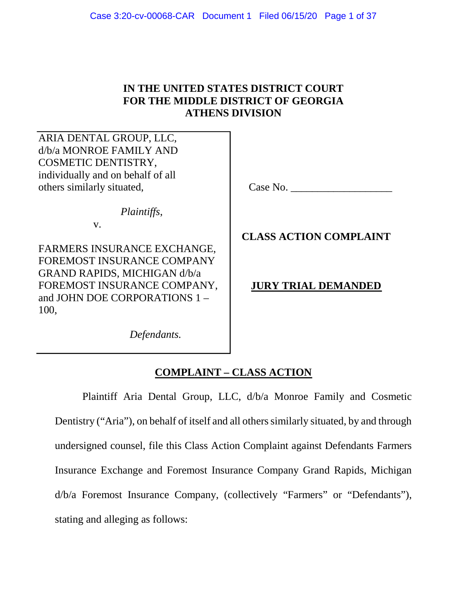## **IN THE UNITED STATES DISTRICT COURT FOR THE MIDDLE DISTRICT OF GEORGIA ATHENS DIVISION**

ARIA DENTAL GROUP, LLC, d/b/a MONROE FAMILY AND COSMETIC DENTISTRY, individually and on behalf of all others similarly situated,

*Plaintiffs*,

v.

FARMERS INSURANCE EXCHANGE, FOREMOST INSURANCE COMPANY GRAND RAPIDS, MICHIGAN d/b/a FOREMOST INSURANCE COMPANY, and JOHN DOE CORPORATIONS 1 – 100,

 *Defendants.* 

Case No.

**CLASS ACTION COMPLAINT**

# **JURY TRIAL DEMANDED**

# **COMPLAINT – CLASS ACTION**

Plaintiff Aria Dental Group, LLC, d/b/a Monroe Family and Cosmetic Dentistry ("Aria"), on behalf of itself and all others similarly situated, by and through undersigned counsel, file this Class Action Complaint against Defendants Farmers Insurance Exchange and Foremost Insurance Company Grand Rapids, Michigan d/b/a Foremost Insurance Company, (collectively "Farmers" or "Defendants"), stating and alleging as follows: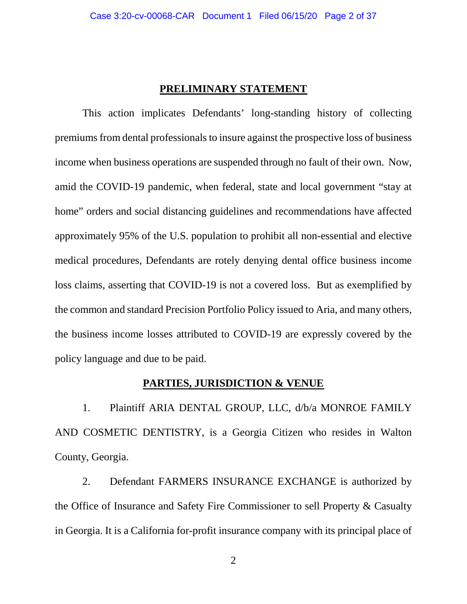#### **PRELIMINARY STATEMENT**

This action implicates Defendants' long-standing history of collecting premiums from dental professionals to insure against the prospective loss of business income when business operations are suspended through no fault of their own. Now, amid the COVID-19 pandemic, when federal, state and local government "stay at home" orders and social distancing guidelines and recommendations have affected approximately 95% of the U.S. population to prohibit all non-essential and elective medical procedures, Defendants are rotely denying dental office business income loss claims, asserting that COVID-19 is not a covered loss. But as exemplified by the common and standard Precision Portfolio Policy issued to Aria, and many others, the business income losses attributed to COVID-19 are expressly covered by the policy language and due to be paid.

### **PARTIES, JURISDICTION & VENUE**

1. Plaintiff ARIA DENTAL GROUP, LLC, d/b/a MONROE FAMILY AND COSMETIC DENTISTRY, is a Georgia Citizen who resides in Walton County, Georgia.

2. Defendant FARMERS INSURANCE EXCHANGE is authorized by the Office of Insurance and Safety Fire Commissioner to sell Property & Casualty in Georgia. It is a California for-profit insurance company with its principal place of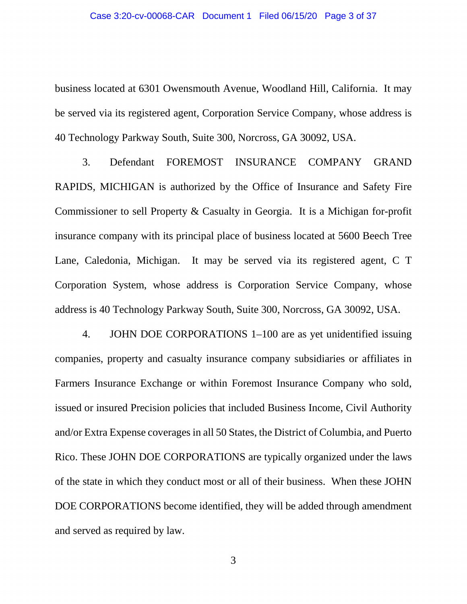business located at 6301 Owensmouth Avenue, Woodland Hill, California. It may be served via its registered agent, Corporation Service Company, whose address is 40 Technology Parkway South, Suite 300, Norcross, GA 30092, USA.

3. Defendant FOREMOST INSURANCE COMPANY GRAND RAPIDS, MICHIGAN is authorized by the Office of Insurance and Safety Fire Commissioner to sell Property & Casualty in Georgia. It is a Michigan for-profit insurance company with its principal place of business located at 5600 Beech Tree Lane, Caledonia, Michigan. It may be served via its registered agent, C T Corporation System, whose address is Corporation Service Company, whose address is 40 Technology Parkway South, Suite 300, Norcross, GA 30092, USA.

4. JOHN DOE CORPORATIONS 1–100 are as yet unidentified issuing companies, property and casualty insurance company subsidiaries or affiliates in Farmers Insurance Exchange or within Foremost Insurance Company who sold, issued or insured Precision policies that included Business Income, Civil Authority and/or Extra Expense coverages in all 50 States, the District of Columbia, and Puerto Rico. These JOHN DOE CORPORATIONS are typically organized under the laws of the state in which they conduct most or all of their business. When these JOHN DOE CORPORATIONS become identified, they will be added through amendment and served as required by law.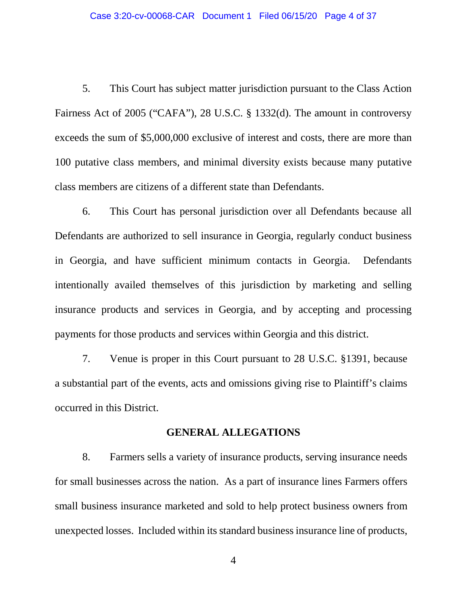5. This Court has subject matter jurisdiction pursuant to the Class Action Fairness Act of 2005 ("CAFA"), 28 U.S.C. § 1332(d). The amount in controversy exceeds the sum of \$5,000,000 exclusive of interest and costs, there are more than 100 putative class members, and minimal diversity exists because many putative class members are citizens of a different state than Defendants.

6. This Court has personal jurisdiction over all Defendants because all Defendants are authorized to sell insurance in Georgia, regularly conduct business in Georgia, and have sufficient minimum contacts in Georgia. Defendants intentionally availed themselves of this jurisdiction by marketing and selling insurance products and services in Georgia, and by accepting and processing payments for those products and services within Georgia and this district.

7. Venue is proper in this Court pursuant to 28 U.S.C. §1391, because a substantial part of the events, acts and omissions giving rise to Plaintiff's claims occurred in this District.

#### **GENERAL ALLEGATIONS**

8. Farmers sells a variety of insurance products, serving insurance needs for small businesses across the nation. As a part of insurance lines Farmers offers small business insurance marketed and sold to help protect business owners from unexpected losses. Included within its standard business insurance line of products,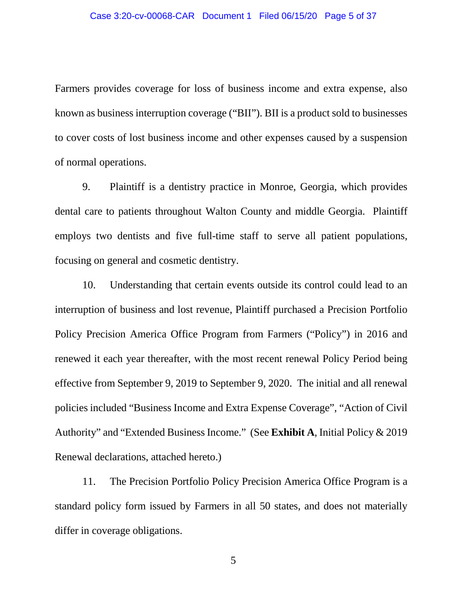Farmers provides coverage for loss of business income and extra expense, also known as business interruption coverage ("BII"). BII is a product sold to businesses to cover costs of lost business income and other expenses caused by a suspension of normal operations.

9. Plaintiff is a dentistry practice in Monroe, Georgia, which provides dental care to patients throughout Walton County and middle Georgia. Plaintiff employs two dentists and five full-time staff to serve all patient populations, focusing on general and cosmetic dentistry.

10. Understanding that certain events outside its control could lead to an interruption of business and lost revenue, Plaintiff purchased a Precision Portfolio Policy Precision America Office Program from Farmers ("Policy") in 2016 and renewed it each year thereafter, with the most recent renewal Policy Period being effective from September 9, 2019 to September 9, 2020. The initial and all renewal policies included "Business Income and Extra Expense Coverage", "Action of Civil Authority" and "Extended Business Income." (See **Exhibit A**, Initial Policy & 2019 Renewal declarations, attached hereto.)

11. The Precision Portfolio Policy Precision America Office Program is a standard policy form issued by Farmers in all 50 states, and does not materially differ in coverage obligations.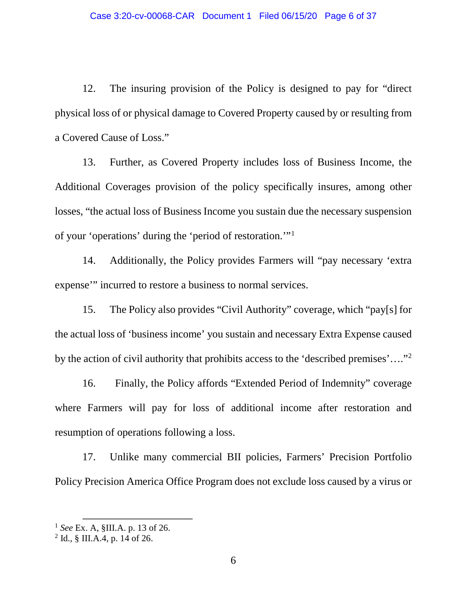12. The insuring provision of the Policy is designed to pay for "direct physical loss of or physical damage to Covered Property caused by or resulting from a Covered Cause of Loss."

13. Further, as Covered Property includes loss of Business Income, the Additional Coverages provision of the policy specifically insures, among other losses, "the actual loss of Business Income you sustain due the necessary suspension of your 'operations' during the 'period of restoration.'"[1](#page-5-0)

14. Additionally, the Policy provides Farmers will "pay necessary 'extra expense'" incurred to restore a business to normal services.

15. The Policy also provides "Civil Authority" coverage, which "pay[s] for the actual loss of 'business income' you sustain and necessary Extra Expense caused by the action of civil authority that prohibits access to the 'described premises'….["2](#page-5-1)

16. Finally, the Policy affords "Extended Period of Indemnity" coverage where Farmers will pay for loss of additional income after restoration and resumption of operations following a loss.

17. Unlike many commercial BII policies, Farmers' Precision Portfolio Policy Precision America Office Program does not exclude loss caused by a virus or

<span id="page-5-0"></span><sup>1</sup> *See* Ex. A, §III.A. p. 13 of 26.

<span id="page-5-1"></span> $2$  Id., § III.A.4, p. 14 of 26.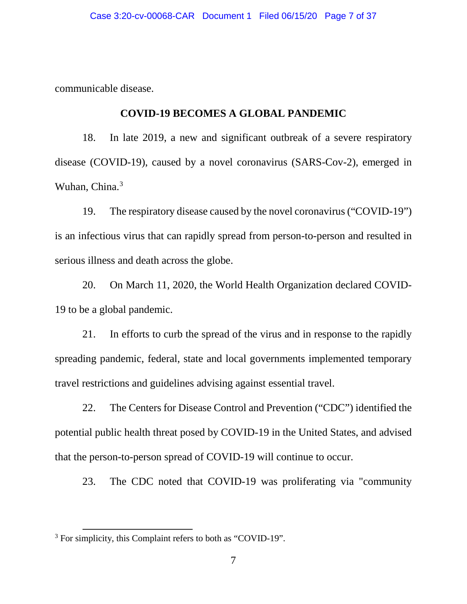communicable disease.

### **COVID-19 BECOMES A GLOBAL PANDEMIC**

18. In late 2019, a new and significant outbreak of a severe respiratory disease (COVID-19), caused by a novel coronavirus (SARS-Cov-2), emerged in Wuhan, China.<sup>[3](#page-6-0)</sup>

19. The respiratory disease caused by the novel coronavirus ("COVID-19") is an infectious virus that can rapidly spread from person-to-person and resulted in serious illness and death across the globe.

20. On March 11, 2020, the World Health Organization declared COVID-19 to be a global pandemic.

21. In efforts to curb the spread of the virus and in response to the rapidly spreading pandemic, federal, state and local governments implemented temporary travel restrictions and guidelines advising against essential travel.

22. The Centers for Disease Control and Prevention ("CDC") identified the potential public health threat posed by COVID-19 in the United States, and advised that the person-to-person spread of COVID-19 will continue to occur.

23. The CDC noted that COVID-19 was proliferating via "community

<span id="page-6-0"></span><sup>&</sup>lt;sup>3</sup> For simplicity, this Complaint refers to both as "COVID-19".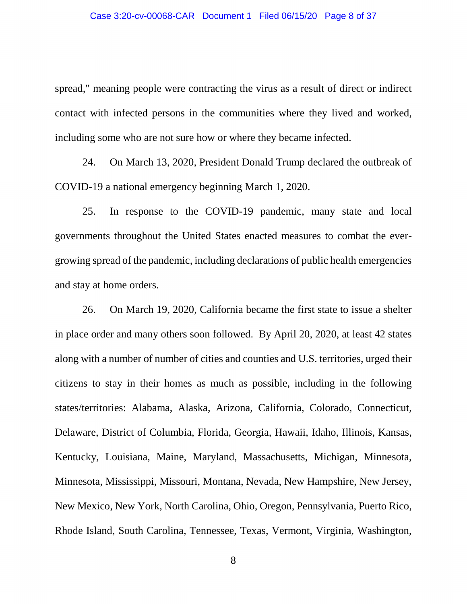spread," meaning people were contracting the virus as a result of direct or indirect contact with infected persons in the communities where they lived and worked, including some who are not sure how or where they became infected.

24. On March 13, 2020, President Donald Trump declared the outbreak of COVID-19 a national emergency beginning March 1, 2020.

25. In response to the COVID-19 pandemic, many state and local governments throughout the United States enacted measures to combat the evergrowing spread of the pandemic, including declarations of public health emergencies and stay at home orders.

26. On March 19, 2020, California became the first state to issue a shelter in place order and many others soon followed. By April 20, 2020, at least 42 states along with a number of number of cities and counties and U.S. territories, urged their citizens to stay in their homes as much as possible, including in the following states/territories: Alabama, Alaska, Arizona, California, Colorado, Connecticut, Delaware, District of Columbia, Florida, Georgia, Hawaii, Idaho, Illinois, Kansas, Kentucky, Louisiana, Maine, Maryland, Massachusetts, Michigan, Minnesota, Minnesota, Mississippi, Missouri, Montana, Nevada, New Hampshire, New Jersey, New Mexico, New York, North Carolina, Ohio, Oregon, Pennsylvania, Puerto Rico, Rhode Island, South Carolina, Tennessee, Texas, Vermont, Virginia, Washington,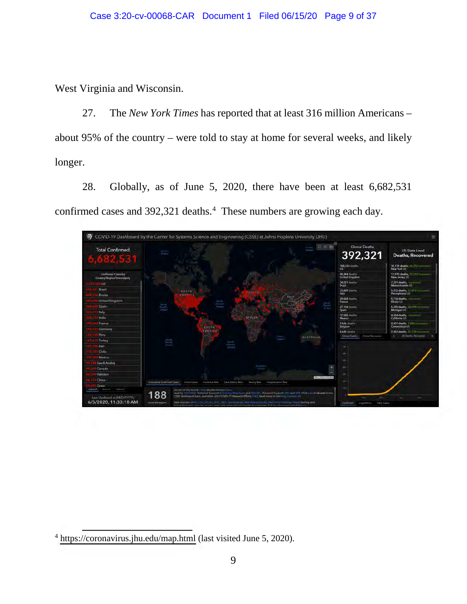West Virginia and Wisconsin.

27. The *New York Times* has reported that at least 316 million Americans – about 95% of the country – were told to stay at home for several weeks, and likely longer.

28. Globally, as of June 5, 2020, there have been at least 6,682,531 confirmed cases and 392,321 deaths.<sup>[4](#page-8-0)</sup> These numbers are growing each day.



<span id="page-8-0"></span><sup>4</sup> <https://coronavirus.jhu.edu/map.html> (last visited June 5, 2020).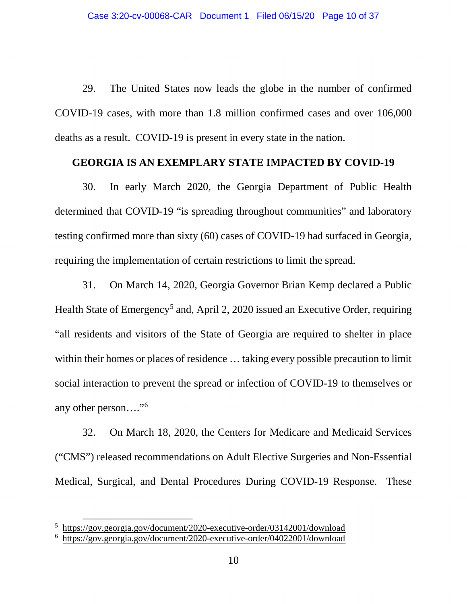29. The United States now leads the globe in the number of confirmed COVID-19 cases, with more than 1.8 million confirmed cases and over 106,000 deaths as a result. COVID-19 is present in every state in the nation.

#### **GEORGIA IS AN EXEMPLARY STATE IMPACTED BY COVID-19**

30. In early March 2020, the Georgia Department of Public Health determined that COVID-19 "is spreading throughout communities" and laboratory testing confirmed more than sixty (60) cases of COVID-19 had surfaced in Georgia, requiring the implementation of certain restrictions to limit the spread.

31. On March 14, 2020, Georgia Governor Brian Kemp declared a Public Health State of Emergency<sup>[5](#page-9-0)</sup> and, April 2, 2020 issued an Executive Order, requiring "all residents and visitors of the State of Georgia are required to shelter in place within their homes or places of residence ... taking every possible precaution to limit social interaction to prevent the spread or infection of COVID-19 to themselves or any other person….["6](#page-9-1)

32. On March 18, 2020, the Centers for Medicare and Medicaid Services ("CMS") released recommendations on Adult Elective Surgeries and Non-Essential Medical, Surgical, and Dental Procedures During COVID-19 Response. These

<span id="page-9-1"></span><span id="page-9-0"></span><sup>&</sup>lt;sup>5</sup> https://gov.georgia.gov/document/2020-executive-order/03142001/download

<sup>&</sup>lt;sup>5</sup> <https://gov.georgia.gov/document/2020-executive-order/03142001/download><https://gov.georgia.gov/document/2020-executive-order/04022001/download>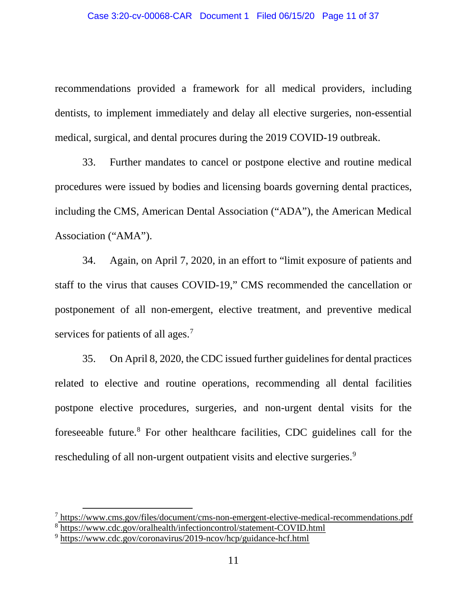recommendations provided a framework for all medical providers, including dentists, to implement immediately and delay all elective surgeries, non-essential medical, surgical, and dental procures during the 2019 COVID-19 outbreak.

33. Further mandates to cancel or postpone elective and routine medical procedures were issued by bodies and licensing boards governing dental practices, including the CMS, American Dental Association ("ADA"), the American Medical Association ("AMA").

34. Again, on April 7, 2020, in an effort to "limit exposure of patients and staff to the virus that causes COVID-19," CMS recommended the cancellation or postponement of all non-emergent, elective treatment, and preventive medical services for patients of all ages.<sup>[7](#page-10-0)</sup>

35. On April 8, 2020, the CDC issued further guidelines for dental practices related to elective and routine operations, recommending all dental facilities postpone elective procedures, surgeries, and non-urgent dental visits for the foreseeable future.[8](#page-10-1) For other healthcare facilities, CDC guidelines call for the rescheduling of all non-urgent outpatient visits and elective surgeries.<sup>9</sup>

<span id="page-10-0"></span> $^7$  <https://www.cms.gov/files/document/cms-non-emergent-elective-medical-recommendations.pdf> <sup>8</sup> <https://www.cdc.gov/oralhealth/infectioncontrol/statement-COVID.html>

<span id="page-10-2"></span><span id="page-10-1"></span><sup>9</sup> <https://www.cdc.gov/coronavirus/2019-ncov/hcp/guidance-hcf.html>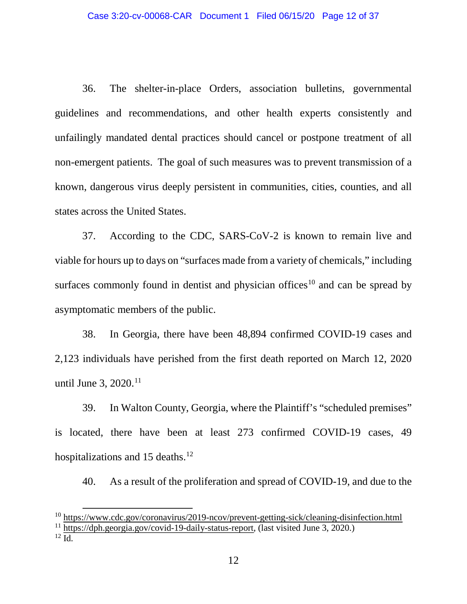36. The shelter-in-place Orders, association bulletins, governmental guidelines and recommendations, and other health experts consistently and unfailingly mandated dental practices should cancel or postpone treatment of all non-emergent patients. The goal of such measures was to prevent transmission of a known, dangerous virus deeply persistent in communities, cities, counties, and all states across the United States.

37. According to the CDC, SARS-CoV-2 is known to remain live and viable for hours up to days on "surfaces made from a variety of chemicals," including surfaces commonly found in dentist and physician offices<sup>[10](#page-11-0)</sup> and can be spread by asymptomatic members of the public.

38. In Georgia, there have been 48,894 confirmed COVID-19 cases and 2,123 individuals have perished from the first death reported on March 12, 2020 until June 3, 2020.<sup>[11](#page-11-1)</sup>

39. In Walton County, Georgia, where the Plaintiff's "scheduled premises" is located, there have been at least 273 confirmed COVID-19 cases, 49 hospitalizations and 15 deaths.<sup>[12](#page-11-2)</sup>

40. As a result of the proliferation and spread of COVID-19, and due to the

<span id="page-11-2"></span><span id="page-11-1"></span> $^{12}$  Id.

<span id="page-11-0"></span><sup>10</sup> <https://www.cdc.gov/coronavirus/2019-ncov/prevent-getting-sick/cleaning-disinfection.html> <sup>11</sup> [https://dph.georgia.gov/covid-19-daily-status-report,](https://dph.georgia.gov/covid-19-daily-status-report) (last visited June 3, 2020.)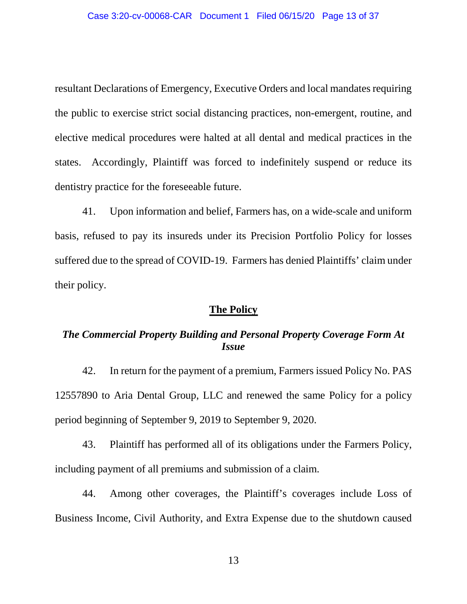resultant Declarations of Emergency, Executive Orders and local mandates requiring the public to exercise strict social distancing practices, non-emergent, routine, and elective medical procedures were halted at all dental and medical practices in the states. Accordingly, Plaintiff was forced to indefinitely suspend or reduce its dentistry practice for the foreseeable future.

41. Upon information and belief, Farmers has, on a wide-scale and uniform basis, refused to pay its insureds under its Precision Portfolio Policy for losses suffered due to the spread of COVID-19. Farmers has denied Plaintiffs' claim under their policy.

#### **The Policy**

## *The Commercial Property Building and Personal Property Coverage Form At Issue*

42. In return for the payment of a premium, Farmers issued Policy No. PAS 12557890 to Aria Dental Group, LLC and renewed the same Policy for a policy period beginning of September 9, 2019 to September 9, 2020.

43. Plaintiff has performed all of its obligations under the Farmers Policy, including payment of all premiums and submission of a claim.

44. Among other coverages, the Plaintiff's coverages include Loss of Business Income, Civil Authority, and Extra Expense due to the shutdown caused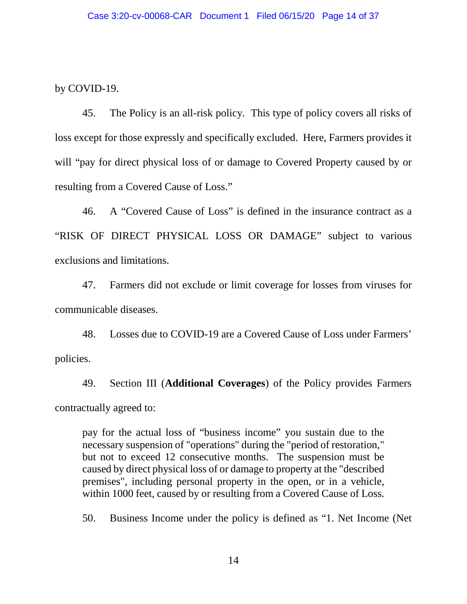by COVID-19.

45. The Policy is an all-risk policy. This type of policy covers all risks of loss except for those expressly and specifically excluded. Here, Farmers provides it will "pay for direct physical loss of or damage to Covered Property caused by or resulting from a Covered Cause of Loss."

46. A "Covered Cause of Loss" is defined in the insurance contract as a "RISK OF DIRECT PHYSICAL LOSS OR DAMAGE" subject to various exclusions and limitations.

47. Farmers did not exclude or limit coverage for losses from viruses for communicable diseases.

48. Losses due to COVID-19 are a Covered Cause of Loss under Farmers' policies.

49. Section III (**Additional Coverages**) of the Policy provides Farmers contractually agreed to:

pay for the actual loss of "business income" you sustain due to the necessary suspension of "operations" during the "period of restoration," but not to exceed 12 consecutive months. The suspension must be caused by direct physical loss of or damage to property at the "described premises", including personal property in the open, or in a vehicle, within 1000 feet, caused by or resulting from a Covered Cause of Loss.

50. Business Income under the policy is defined as "1. Net Income (Net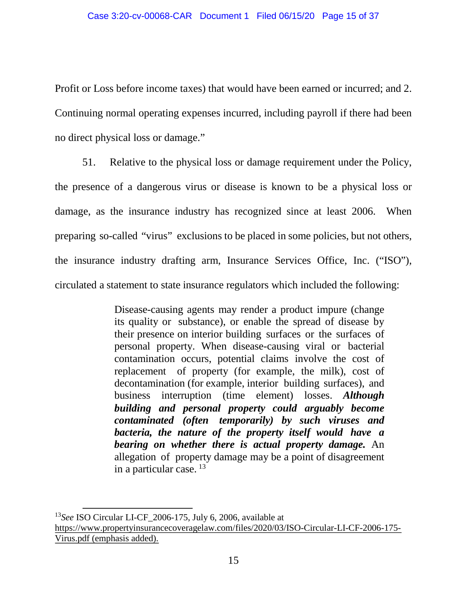Profit or Loss before income taxes) that would have been earned or incurred; and 2. Continuing normal operating expenses incurred, including payroll if there had been no direct physical loss or damage."

51. Relative to the physical loss or damage requirement under the Policy, the presence of a dangerous virus or disease is known to be a physical loss or damage, as the insurance industry has recognized since at least 2006. When preparing so-called "virus" exclusions to be placed in some policies, but not others, the insurance industry drafting arm, Insurance Services Office, Inc. ("ISO"), circulated a statement to state insurance regulators which included the following:

> Disease-causing agents may render a product impure (change its quality or substance), or enable the spread of disease by their presence on interior building surfaces or the surfaces of personal property. When disease-causing viral or bacterial contamination occurs, potential claims involve the cost of replacement of property (for example, the milk), cost of decontamination (for example, interior building surfaces), and business interruption (time element) losses. *Although building and personal property could arguably become contaminated (often temporarily) by such viruses and bacteria, the nature of the property itself would have a bearing on whether there is actual property damage.* An allegation of property damage may be a point of disagreement in a particular case. [13](#page-14-0)

<span id="page-14-0"></span><sup>13</sup>*See* ISO Circular LI-CF\_2006-175, July 6, 2006, available at [https://www.propertyinsurancecoveragelaw.com/files/2020/03/ISO-Circular-LI-CF-2006-175-](https://www.propertyinsurancecoveragelaw.com/files/2020/03/ISO-Circular-LI-CF-2006-175-Virus.pdf) [Virus.pdf](https://www.propertyinsurancecoveragelaw.com/files/2020/03/ISO-Circular-LI-CF-2006-175-Virus.pdf) (emphasis added).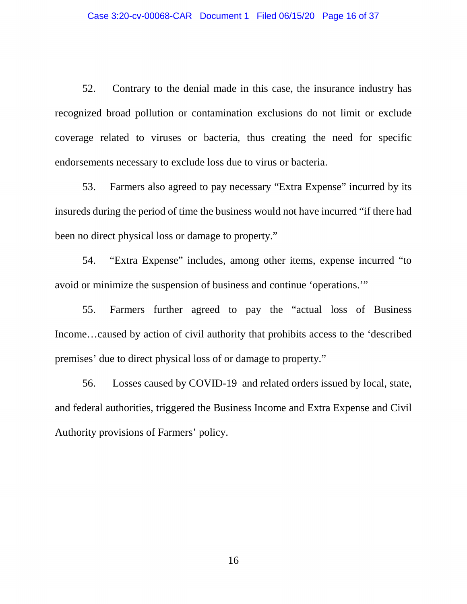52. Contrary to the denial made in this case, the insurance industry has recognized broad pollution or contamination exclusions do not limit or exclude coverage related to viruses or bacteria, thus creating the need for specific endorsements necessary to exclude loss due to virus or bacteria.

53. Farmers also agreed to pay necessary "Extra Expense" incurred by its insureds during the period of time the business would not have incurred "if there had been no direct physical loss or damage to property."

54. "Extra Expense" includes, among other items, expense incurred "to avoid or minimize the suspension of business and continue 'operations.'"

55. Farmers further agreed to pay the "actual loss of Business Income…caused by action of civil authority that prohibits access to the 'described premises' due to direct physical loss of or damage to property."

56. Losses caused by COVID-19 and related orders issued by local, state, and federal authorities, triggered the Business Income and Extra Expense and Civil Authority provisions of Farmers' policy.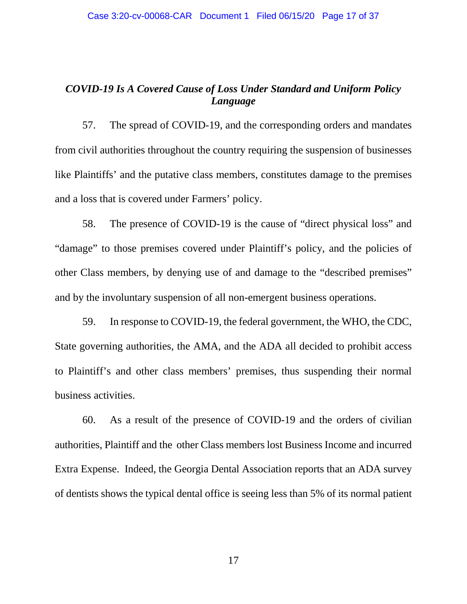## *COVID-19 Is A Covered Cause of Loss Under Standard and Uniform Policy Language*

57. The spread of COVID-19, and the corresponding orders and mandates from civil authorities throughout the country requiring the suspension of businesses like Plaintiffs' and the putative class members, constitutes damage to the premises and a loss that is covered under Farmers' policy.

58. The presence of COVID-19 is the cause of "direct physical loss" and "damage" to those premises covered under Plaintiff's policy, and the policies of other Class members, by denying use of and damage to the "described premises" and by the involuntary suspension of all non-emergent business operations.

59. In response to COVID-19, the federal government, the WHO, the CDC, State governing authorities, the AMA, and the ADA all decided to prohibit access to Plaintiff's and other class members' premises, thus suspending their normal business activities.

60. As a result of the presence of COVID-19 and the orders of civilian authorities, Plaintiff and the other Class members lost Business Income and incurred Extra Expense. Indeed, the Georgia Dental Association reports that an ADA survey of dentists shows the typical dental office is seeing less than 5% of its normal patient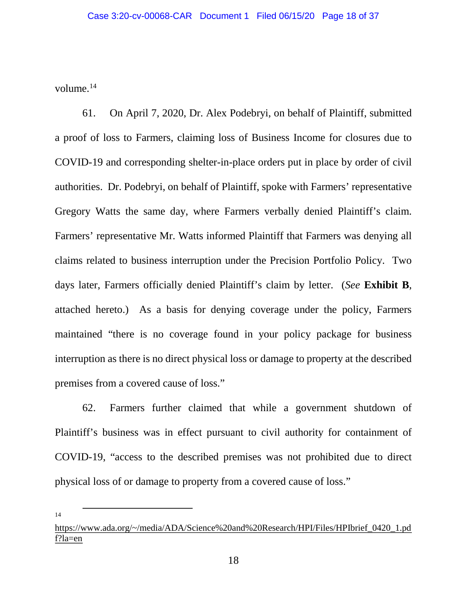volume. $^{14}$ 

61. On April 7, 2020, Dr. Alex Podebryi, on behalf of Plaintiff, submitted a proof of loss to Farmers, claiming loss of Business Income for closures due to COVID-19 and corresponding shelter-in-place orders put in place by order of civil authorities. Dr. Podebryi, on behalf of Plaintiff, spoke with Farmers' representative Gregory Watts the same day, where Farmers verbally denied Plaintiff's claim. Farmers' representative Mr. Watts informed Plaintiff that Farmers was denying all claims related to business interruption under the Precision Portfolio Policy. Two days later, Farmers officially denied Plaintiff's claim by letter. (*See* **Exhibit B**, attached hereto.) As a basis for denying coverage under the policy, Farmers maintained "there is no coverage found in your policy package for business interruption as there is no direct physical loss or damage to property at the described premises from a covered cause of loss."

62. Farmers further claimed that while a government shutdown of Plaintiff's business was in effect pursuant to civil authority for containment of COVID-19, "access to the described premises was not prohibited due to direct physical loss of or damage to property from a covered cause of loss."

14

<span id="page-17-0"></span>[https://www.ada.org/~/media/ADA/Science%20and%20Research/HPI/Files/HPIbrief\\_0420\\_1.pd](https://www.ada.org/%7E/media/ADA/Science%20and%20Research/HPI/Files/HPIbrief_0420_1.pdf?la=en) [f?la=en](https://www.ada.org/%7E/media/ADA/Science%20and%20Research/HPI/Files/HPIbrief_0420_1.pdf?la=en)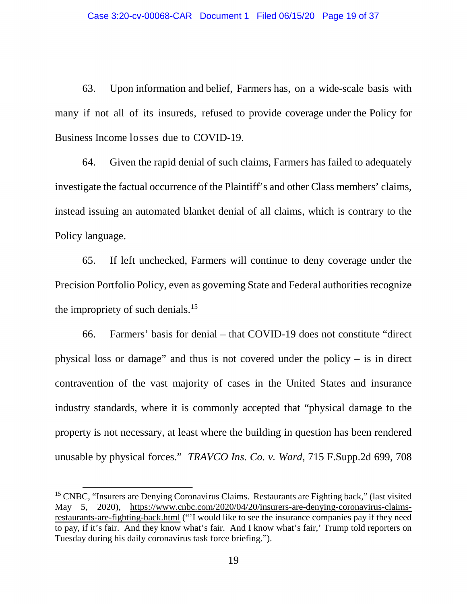63. Upon information and belief, Farmers has, on a wide-scale basis with many if not all of its insureds, refused to provide coverage under the Policy for Business Income losses due to COVID-19.

64. Given the rapid denial of such claims, Farmers has failed to adequately investigate the factual occurrence of the Plaintiff's and other Class members' claims, instead issuing an automated blanket denial of all claims, which is contrary to the Policy language.

65. If left unchecked, Farmers will continue to deny coverage under the Precision Portfolio Policy, even as governing State and Federal authorities recognize the impropriety of such denials.<sup>[15](#page-18-0)</sup>

66. Farmers' basis for denial – that COVID-19 does not constitute "direct physical loss or damage" and thus is not covered under the policy – is in direct contravention of the vast majority of cases in the United States and insurance industry standards, where it is commonly accepted that "physical damage to the property is not necessary, at least where the building in question has been rendered unusable by physical forces." *TRAVCO Ins. Co. v. Ward*, 715 F.Supp.2d 699, 708

<span id="page-18-0"></span><sup>&</sup>lt;sup>15</sup> CNBC, "Insurers are Denying Coronavirus Claims. Restaurants are Fighting back," (last visited May 5, 2020), [https://www.cnbc.com/2020/04/20/insurers-are-denying-coronavirus-claims](https://www.cnbc.com/2020/04/20/insurers-are-denying-coronavirus-claims-restaurants-are-fighting-back.html)[restaurants-are-fighting-back.html](https://www.cnbc.com/2020/04/20/insurers-are-denying-coronavirus-claims-restaurants-are-fighting-back.html) ("'I would like to see the insurance companies pay if they need to pay, if it's fair. And they know what's fair. And I know what's fair,' Trump told reporters on Tuesday during his daily coronavirus task force briefing.").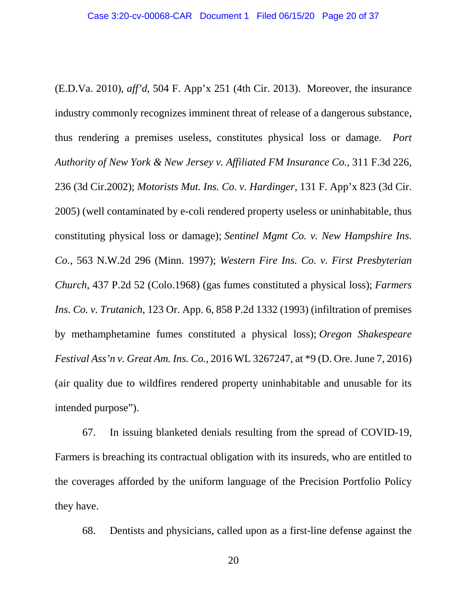(E.D.Va. 2010), *aff'd*, 504 F. App'x 251 (4th Cir. 2013). Moreover, the insurance industry commonly recognizes imminent threat of release of a dangerous substance, thus rendering a premises useless, constitutes physical loss or damage. *Port Authority of New York & New Jersey v. Affiliated FM Insurance Co.*, 311 F.3d 226, 236 (3d Cir.2002); *Motorists Mut. Ins. Co. v. Hardinger,* 131 F. App'x 823 (3d Cir. 2005) (well contaminated by e-coli rendered property useless or uninhabitable, thus constituting physical loss or damage); *Sentinel Mgmt Co. v. New Hampshire Ins. Co.*, 563 N.W.2d 296 (Minn. 1997); *Western Fire Ins. Co. v. First Presbyterian Church*, 437 P.2d 52 (Colo.1968) (gas fumes constituted a physical loss); *Farmers Ins. Co. v. Trutanich*, 123 Or. App. 6, 858 P.2d 1332 (1993) (infiltration of premises by methamphetamine fumes constituted a physical loss); *Oregon Shakespeare Festival Ass'n v. Great Am. Ins. Co.*, 2016 WL 3267247, at \*9 (D. Ore. June 7, 2016) (air quality due to wildfires rendered property uninhabitable and unusable for its intended purpose").

67. In issuing blanketed denials resulting from the spread of COVID-19, Farmers is breaching its contractual obligation with its insureds, who are entitled to the coverages afforded by the uniform language of the Precision Portfolio Policy they have.

68. Dentists and physicians, called upon as a first-line defense against the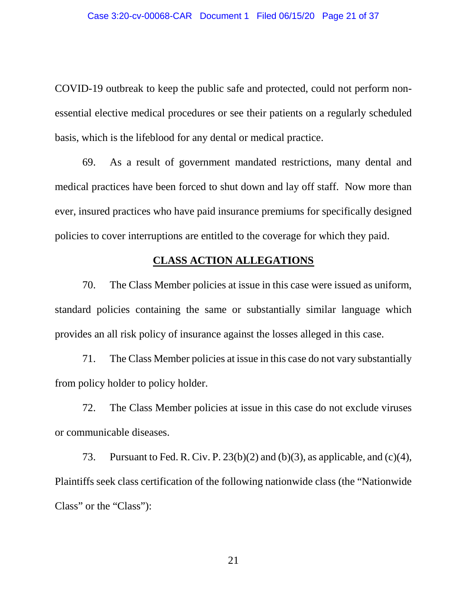COVID-19 outbreak to keep the public safe and protected, could not perform nonessential elective medical procedures or see their patients on a regularly scheduled basis, which is the lifeblood for any dental or medical practice.

69. As a result of government mandated restrictions, many dental and medical practices have been forced to shut down and lay off staff. Now more than ever, insured practices who have paid insurance premiums for specifically designed policies to cover interruptions are entitled to the coverage for which they paid.

## **CLASS ACTION ALLEGATIONS**

70. The Class Member policies at issue in this case were issued as uniform, standard policies containing the same or substantially similar language which provides an all risk policy of insurance against the losses alleged in this case.

71. The Class Member policies at issue in this case do not vary substantially from policy holder to policy holder.

72. The Class Member policies at issue in this case do not exclude viruses or communicable diseases.

73. Pursuant to Fed. R. Civ. P.  $23(b)(2)$  and (b)(3), as applicable, and (c)(4), Plaintiffs seek class certification of the following nationwide class (the "Nationwide Class" or the "Class"):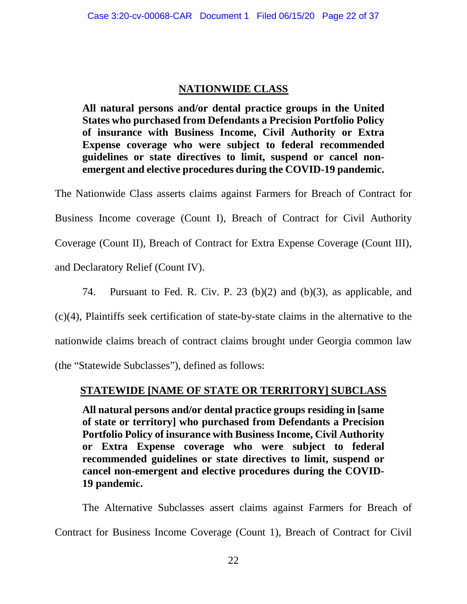## **NATIONWIDE CLASS**

**All natural persons and/or dental practice groups in the United States who purchased from Defendants a Precision Portfolio Policy of insurance with Business Income, Civil Authority or Extra Expense coverage who were subject to federal recommended guidelines or state directives to limit, suspend or cancel nonemergent and elective procedures during the COVID-19 pandemic.** 

The Nationwide Class asserts claims against Farmers for Breach of Contract for Business Income coverage (Count I), Breach of Contract for Civil Authority Coverage (Count II), Breach of Contract for Extra Expense Coverage (Count III), and Declaratory Relief (Count IV).

74. Pursuant to Fed. R. Civ. P. 23 (b)(2) and (b)(3), as applicable, and

(c)(4), Plaintiffs seek certification of state-by-state claims in the alternative to the

nationwide claims breach of contract claims brought under Georgia common law

(the "Statewide Subclasses"), defined as follows:

## **STATEWIDE [NAME OF STATE OR TERRITORY] SUBCLASS**

**All natural persons and/or dental practice groups residing in [same of state or territory] who purchased from Defendants a Precision Portfolio Policy of insurance with Business Income, Civil Authority or Extra Expense coverage who were subject to federal recommended guidelines or state directives to limit, suspend or cancel non-emergent and elective procedures during the COVID-19 pandemic.**

The Alternative Subclasses assert claims against Farmers for Breach of Contract for Business Income Coverage (Count 1), Breach of Contract for Civil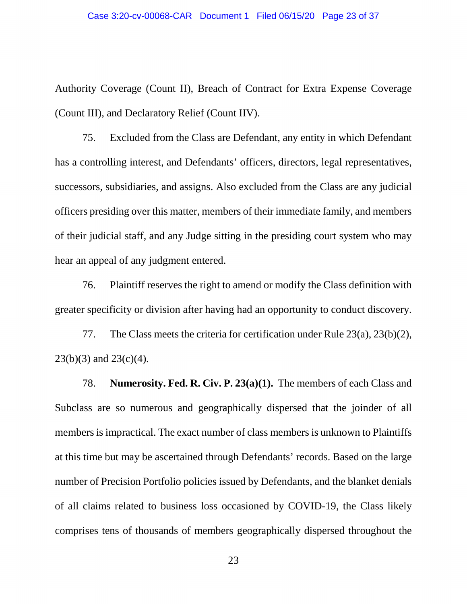Authority Coverage (Count II), Breach of Contract for Extra Expense Coverage (Count III), and Declaratory Relief (Count IIV).

75. Excluded from the Class are Defendant, any entity in which Defendant has a controlling interest, and Defendants' officers, directors, legal representatives, successors, subsidiaries, and assigns. Also excluded from the Class are any judicial officers presiding over this matter, members of their immediate family, and members of their judicial staff, and any Judge sitting in the presiding court system who may hear an appeal of any judgment entered.

76. Plaintiff reserves the right to amend or modify the Class definition with greater specificity or division after having had an opportunity to conduct discovery.

77. The Class meets the criteria for certification under Rule 23(a), 23(b)(2),  $23(b)(3)$  and  $23(c)(4)$ .

78. **Numerosity. Fed. R. Civ. P. 23(a)(1).** The members of each Class and Subclass are so numerous and geographically dispersed that the joinder of all members is impractical. The exact number of class members is unknown to Plaintiffs at this time but may be ascertained through Defendants' records. Based on the large number of Precision Portfolio policies issued by Defendants, and the blanket denials of all claims related to business loss occasioned by COVID-19, the Class likely comprises tens of thousands of members geographically dispersed throughout the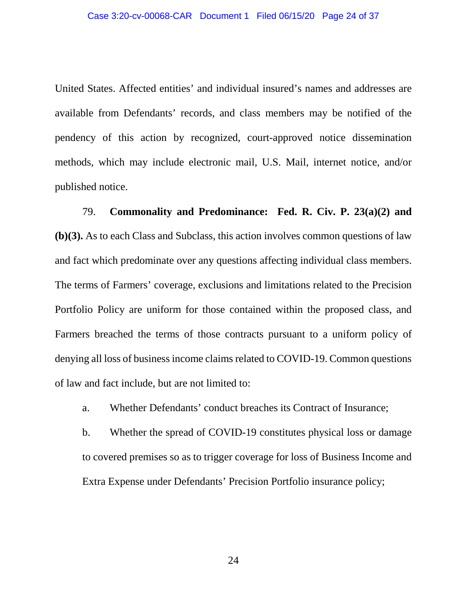United States. Affected entities' and individual insured's names and addresses are available from Defendants' records, and class members may be notified of the pendency of this action by recognized, court-approved notice dissemination methods, which may include electronic mail, U.S. Mail, internet notice, and/or published notice.

79. **Commonality and Predominance: Fed. R. Civ. P. 23(a)(2) and (b)(3).** As to each Class and Subclass, this action involves common questions of law and fact which predominate over any questions affecting individual class members. The terms of Farmers' coverage, exclusions and limitations related to the Precision Portfolio Policy are uniform for those contained within the proposed class, and Farmers breached the terms of those contracts pursuant to a uniform policy of denying all loss of business income claims related to COVID-19. Common questions of law and fact include, but are not limited to:

a. Whether Defendants' conduct breaches its Contract of Insurance;

b. Whether the spread of COVID-19 constitutes physical loss or damage to covered premises so as to trigger coverage for loss of Business Income and Extra Expense under Defendants' Precision Portfolio insurance policy;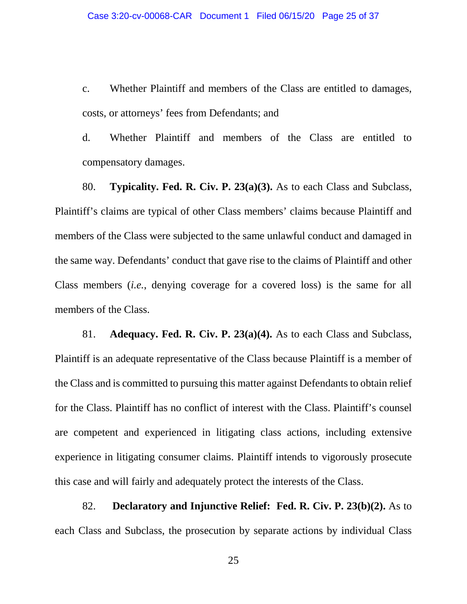c. Whether Plaintiff and members of the Class are entitled to damages, costs, or attorneys' fees from Defendants; and

d. Whether Plaintiff and members of the Class are entitled to compensatory damages.

80. **Typicality. Fed. R. Civ. P. 23(a)(3).** As to each Class and Subclass, Plaintiff's claims are typical of other Class members' claims because Plaintiff and members of the Class were subjected to the same unlawful conduct and damaged in the same way. Defendants' conduct that gave rise to the claims of Plaintiff and other Class members (*i.e.*, denying coverage for a covered loss) is the same for all members of the Class.

81. **Adequacy. Fed. R. Civ. P. 23(a)(4).** As to each Class and Subclass, Plaintiff is an adequate representative of the Class because Plaintiff is a member of the Class and is committed to pursuing this matter against Defendants to obtain relief for the Class. Plaintiff has no conflict of interest with the Class. Plaintiff's counsel are competent and experienced in litigating class actions, including extensive experience in litigating consumer claims. Plaintiff intends to vigorously prosecute this case and will fairly and adequately protect the interests of the Class.

82. **Declaratory and Injunctive Relief: Fed. R. Civ. P. 23(b)(2).** As to each Class and Subclass, the prosecution by separate actions by individual Class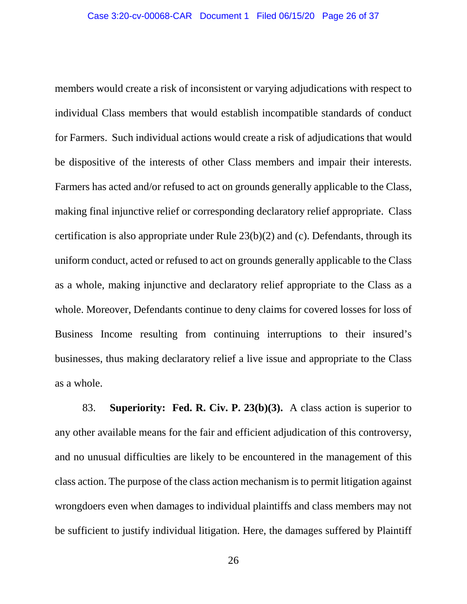members would create a risk of inconsistent or varying adjudications with respect to individual Class members that would establish incompatible standards of conduct for Farmers. Such individual actions would create a risk of adjudications that would be dispositive of the interests of other Class members and impair their interests. Farmers has acted and/or refused to act on grounds generally applicable to the Class, making final injunctive relief or corresponding declaratory relief appropriate. Class certification is also appropriate under Rule 23(b)(2) and (c). Defendants, through its uniform conduct, acted or refused to act on grounds generally applicable to the Class as a whole, making injunctive and declaratory relief appropriate to the Class as a whole. Moreover, Defendants continue to deny claims for covered losses for loss of Business Income resulting from continuing interruptions to their insured's businesses, thus making declaratory relief a live issue and appropriate to the Class as a whole.

83. **Superiority: Fed. R. Civ. P. 23(b)(3).** A class action is superior to any other available means for the fair and efficient adjudication of this controversy, and no unusual difficulties are likely to be encountered in the management of this class action. The purpose of the class action mechanism is to permit litigation against wrongdoers even when damages to individual plaintiffs and class members may not be sufficient to justify individual litigation. Here, the damages suffered by Plaintiff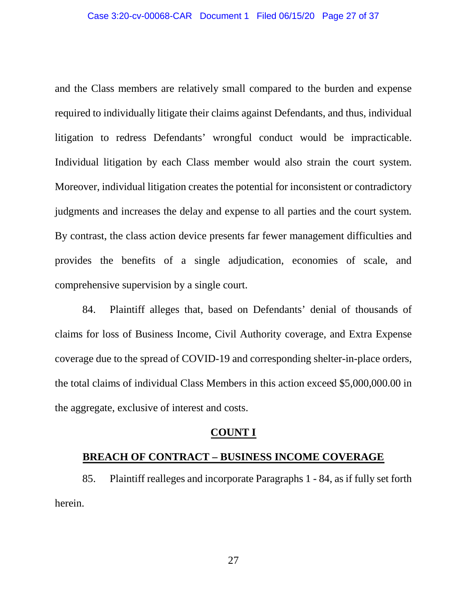and the Class members are relatively small compared to the burden and expense required to individually litigate their claims against Defendants, and thus, individual litigation to redress Defendants' wrongful conduct would be impracticable. Individual litigation by each Class member would also strain the court system. Moreover, individual litigation creates the potential for inconsistent or contradictory judgments and increases the delay and expense to all parties and the court system. By contrast, the class action device presents far fewer management difficulties and provides the benefits of a single adjudication, economies of scale, and comprehensive supervision by a single court.

84. Plaintiff alleges that, based on Defendants' denial of thousands of claims for loss of Business Income, Civil Authority coverage, and Extra Expense coverage due to the spread of COVID-19 and corresponding shelter-in-place orders, the total claims of individual Class Members in this action exceed \$5,000,000.00 in the aggregate, exclusive of interest and costs.

#### **COUNT I**

### **BREACH OF CONTRACT – BUSINESS INCOME COVERAGE**

85. Plaintiff realleges and incorporate Paragraphs 1 - 84, as if fully set forth herein.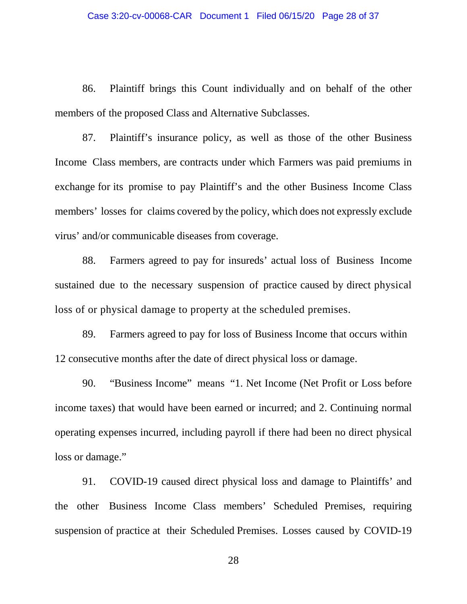86. Plaintiff brings this Count individually and on behalf of the other members of the proposed Class and Alternative Subclasses.

87. Plaintiff's insurance policy, as well as those of the other Business Income Class members, are contracts under which Farmers was paid premiums in exchange for its promise to pay Plaintiff's and the other Business Income Class members' losses for claims covered by the policy, which does not expressly exclude virus' and/or communicable diseases from coverage.

88. Farmers agreed to pay for insureds' actual loss of Business Income sustained due to the necessary suspension of practice caused by direct physical loss of or physical damage to property at the scheduled premises.

89. Farmers agreed to pay for loss of Business Income that occurs within 12 consecutive months after the date of direct physical loss or damage.

90. "Business Income" means "1. Net Income (Net Profit or Loss before income taxes) that would have been earned or incurred; and 2. Continuing normal operating expenses incurred, including payroll if there had been no direct physical loss or damage."

91. COVID-19 caused direct physical loss and damage to Plaintiffs' and the other Business Income Class members' Scheduled Premises, requiring suspension of practice at their Scheduled Premises. Losses caused by COVID-19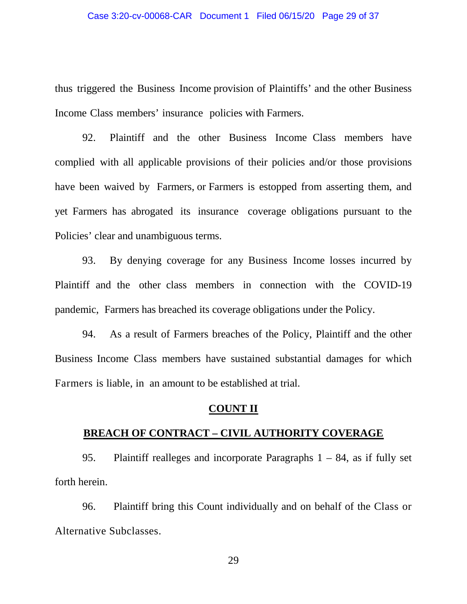thus triggered the Business Income provision of Plaintiffs' and the other Business Income Class members' insurance policies with Farmers.

92. Plaintiff and the other Business Income Class members have complied with all applicable provisions of their policies and/or those provisions have been waived by Farmers, or Farmers is estopped from asserting them, and yet Farmers has abrogated its insurance coverage obligations pursuant to the Policies' clear and unambiguous terms.

93. By denying coverage for any Business Income losses incurred by Plaintiff and the other class members in connection with the COVID-19 pandemic, Farmers has breached its coverage obligations under the Policy.

94. As a result of Farmers breaches of the Policy, Plaintiff and the other Business Income Class members have sustained substantial damages for which Farmers is liable, in an amount to be established at trial.

#### **COUNT II**

### **BREACH OF CONTRACT – CIVIL AUTHORITY COVERAGE**

95. Plaintiff realleges and incorporate Paragraphs 1 – 84, as if fully set forth herein.

96. Plaintiff bring this Count individually and on behalf of the Class or Alternative Subclasses.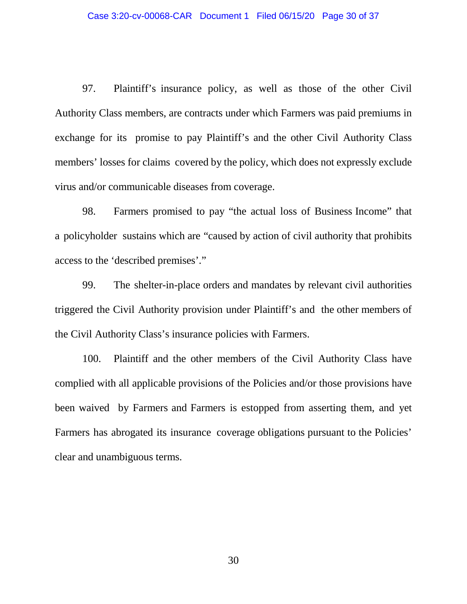97. Plaintiff's insurance policy, as well as those of the other Civil Authority Class members, are contracts under which Farmers was paid premiums in exchange for its promise to pay Plaintiff's and the other Civil Authority Class members' losses for claims covered by the policy, which does not expressly exclude virus and/or communicable diseases from coverage.

98. Farmers promised to pay "the actual loss of Business Income" that a policyholder sustains which are "caused by action of civil authority that prohibits access to the 'described premises'."

99. The shelter-in-place orders and mandates by relevant civil authorities triggered the Civil Authority provision under Plaintiff's and the other members of the Civil Authority Class's insurance policies with Farmers.

100. Plaintiff and the other members of the Civil Authority Class have complied with all applicable provisions of the Policies and/or those provisions have been waived by Farmers and Farmers is estopped from asserting them, and yet Farmers has abrogated its insurance coverage obligations pursuant to the Policies' clear and unambiguous terms.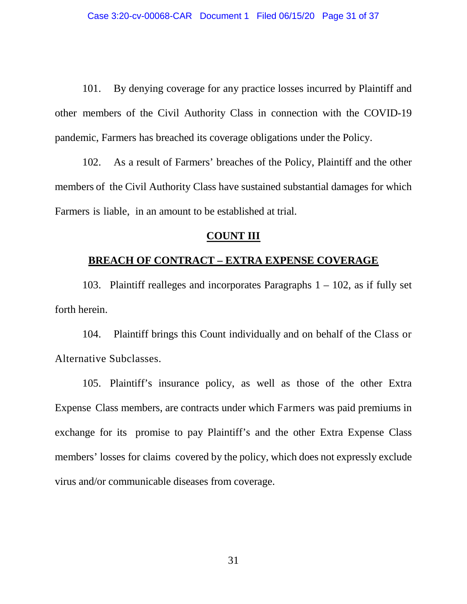101. By denying coverage for any practice losses incurred by Plaintiff and other members of the Civil Authority Class in connection with the COVID-19 pandemic, Farmers has breached its coverage obligations under the Policy.

102. As a result of Farmers' breaches of the Policy, Plaintiff and the other members of the Civil Authority Class have sustained substantial damages for which Farmers is liable, in an amount to be established at trial.

#### **COUNT III**

### **BREACH OF CONTRACT – EXTRA EXPENSE COVERAGE**

103. Plaintiff realleges and incorporates Paragraphs 1 – 102, as if fully set forth herein.

104. Plaintiff brings this Count individually and on behalf of the Class or Alternative Subclasses.

105. Plaintiff's insurance policy, as well as those of the other Extra Expense Class members, are contracts under which Farmers was paid premiums in exchange for its promise to pay Plaintiff's and the other Extra Expense Class members' losses for claims covered by the policy, which does not expressly exclude virus and/or communicable diseases from coverage.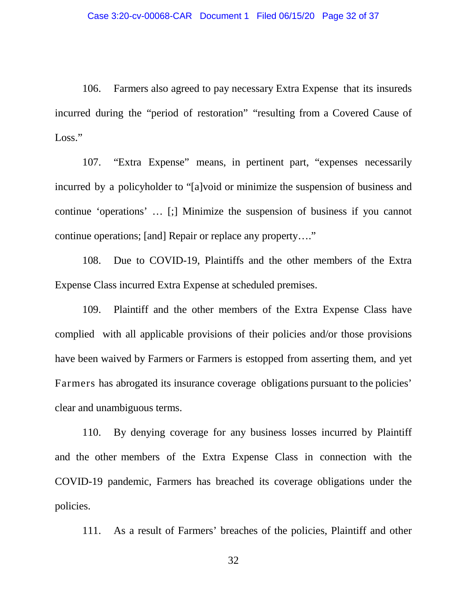106. Farmers also agreed to pay necessary Extra Expense that its insureds incurred during the "period of restoration" "resulting from a Covered Cause of Loss."

107. "Extra Expense" means, in pertinent part, "expenses necessarily incurred by a policyholder to "[a]void or minimize the suspension of business and continue 'operations' … [;] Minimize the suspension of business if you cannot continue operations; [and] Repair or replace any property…."

108. Due to COVID-19, Plaintiffs and the other members of the Extra Expense Class incurred Extra Expense at scheduled premises.

109. Plaintiff and the other members of the Extra Expense Class have complied with all applicable provisions of their policies and/or those provisions have been waived by Farmers or Farmers is estopped from asserting them, and yet Farmers has abrogated its insurance coverage obligations pursuant to the policies' clear and unambiguous terms.

110. By denying coverage for any business losses incurred by Plaintiff and the other members of the Extra Expense Class in connection with the COVID-19 pandemic, Farmers has breached its coverage obligations under the policies.

111. As a result of Farmers' breaches of the policies, Plaintiff and other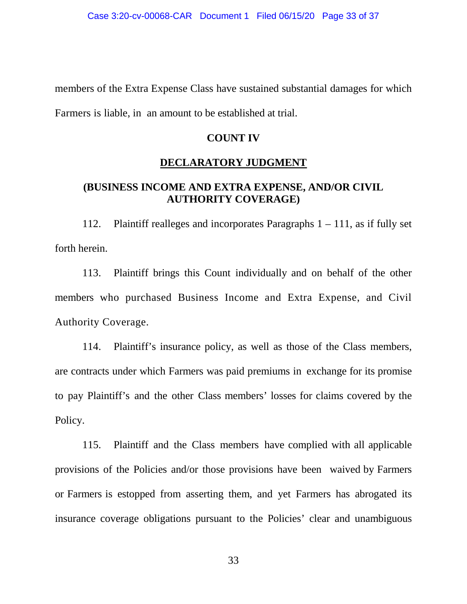members of the Extra Expense Class have sustained substantial damages for which Farmers is liable, in an amount to be established at trial.

## **COUNT IV**

## **DECLARATORY JUDGMENT**

## **(BUSINESS INCOME AND EXTRA EXPENSE, AND/OR CIVIL AUTHORITY COVERAGE)**

112. Plaintiff realleges and incorporates Paragraphs 1 – 111, as if fully set forth herein.

113. Plaintiff brings this Count individually and on behalf of the other members who purchased Business Income and Extra Expense, and Civil Authority Coverage.

114. Plaintiff's insurance policy, as well as those of the Class members, are contracts under which Farmers was paid premiums in exchange for its promise to pay Plaintiff's and the other Class members' losses for claims covered by the Policy.

115. Plaintiff and the Class members have complied with all applicable provisions of the Policies and/or those provisions have been waived by Farmers or Farmers is estopped from asserting them, and yet Farmers has abrogated its insurance coverage obligations pursuant to the Policies' clear and unambiguous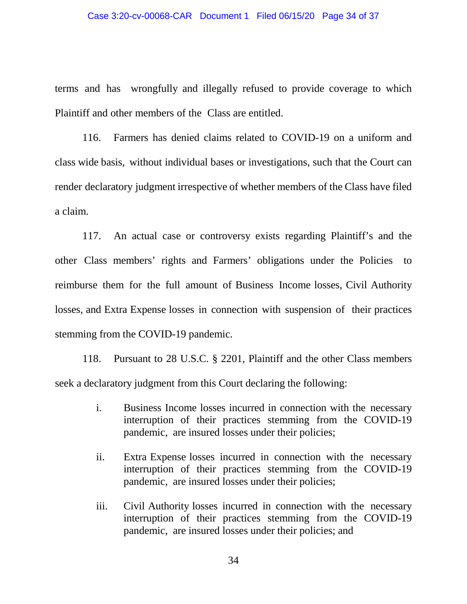terms and has wrongfully and illegally refused to provide coverage to which Plaintiff and other members of the Class are entitled.

116. Farmers has denied claims related to COVID-19 on a uniform and class wide basis, without individual bases or investigations, such that the Court can render declaratory judgment irrespective of whether members of the Class have filed a claim.

117. An actual case or controversy exists regarding Plaintiff's and the other Class members' rights and Farmers' obligations under the Policies to reimburse them for the full amount of Business Income losses, Civil Authority losses, and Extra Expense losses in connection with suspension of their practices stemming from the COVID-19 pandemic.

118. Pursuant to 28 U.S.C. § 2201, Plaintiff and the other Class members seek a declaratory judgment from this Court declaring the following:

- i. Business Income losses incurred in connection with the necessary interruption of their practices stemming from the COVID-19 pandemic, are insured losses under their policies;
- ii. Extra Expense losses incurred in connection with the necessary interruption of their practices stemming from the COVID-19 pandemic, are insured losses under their policies;
- iii. Civil Authority losses incurred in connection with the necessary interruption of their practices stemming from the COVID-19 pandemic, are insured losses under their policies; and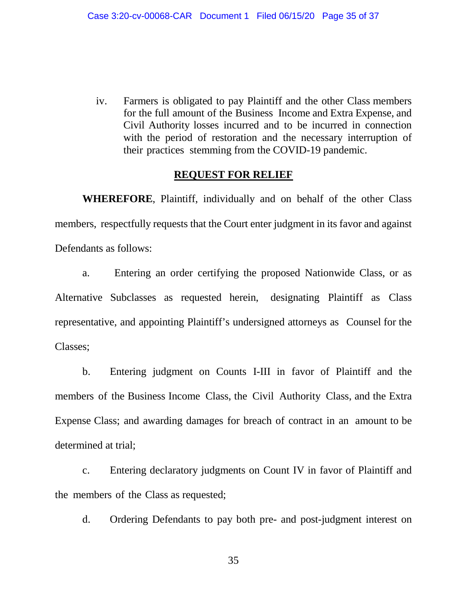iv. Farmers is obligated to pay Plaintiff and the other Class members for the full amount of the Business Income and Extra Expense, and Civil Authority losses incurred and to be incurred in connection with the period of restoration and the necessary interruption of their practices stemming from the COVID-19 pandemic.

### **REQUEST FOR RELIEF**

**WHEREFORE**, Plaintiff, individually and on behalf of the other Class members, respectfully requests that the Court enter judgment in its favor and against Defendants as follows:

a. Entering an order certifying the proposed Nationwide Class, or as Alternative Subclasses as requested herein, designating Plaintiff as Class representative, and appointing Plaintiff's undersigned attorneys as Counsel for the Classes;

b. Entering judgment on Counts I-III in favor of Plaintiff and the members of the Business Income Class, the Civil Authority Class, and the Extra Expense Class; and awarding damages for breach of contract in an amount to be determined at trial;

c. Entering declaratory judgments on Count IV in favor of Plaintiff and the members of the Class as requested;

d. Ordering Defendants to pay both pre- and post-judgment interest on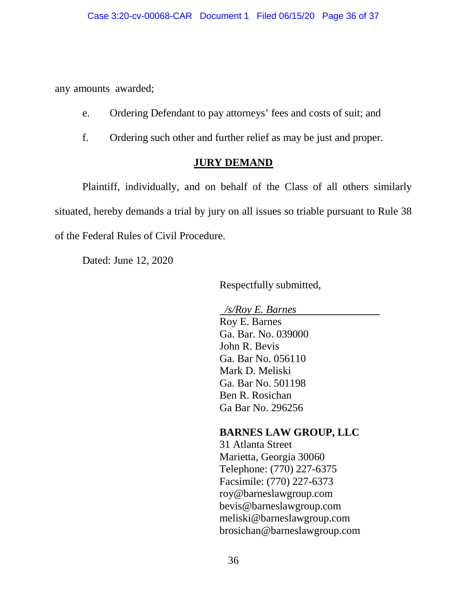any amounts awarded;

- e. Ordering Defendant to pay attorneys' fees and costs of suit; and
- f. Ordering such other and further relief as may be just and proper.

## **JURY DEMAND**

Plaintiff, individually, and on behalf of the Class of all others similarly situated, hereby demands a trial by jury on all issues so triable pursuant to Rule 38 of the Federal Rules of Civil Procedure.

Dated: June 12, 2020

Respectfully submitted,

 */s/Roy E. Barnes*  Roy E. Barnes Ga. Bar. No. 039000 John R. Bevis Ga. Bar No. 056110 Mark D. Meliski Ga. Bar No. 501198 Ben R. Rosichan

Ga Bar No. 296256

# **BARNES LAW GROUP, LLC**

31 Atlanta Street Marietta, Georgia 30060 Telephone: (770) 227-6375 Facsimile: (770) 227-6373 roy@barneslawgroup.com bevis@barneslawgroup.com meliski@barneslawgroup.com brosichan@barneslawgroup.com